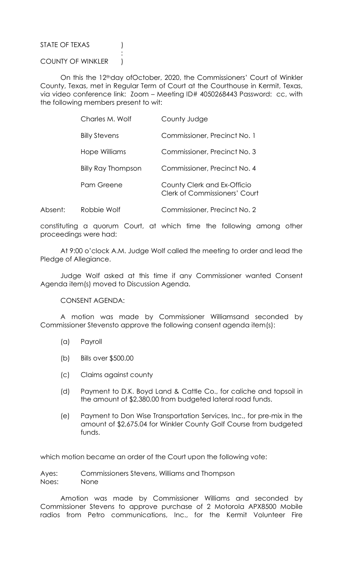STATE OF TEXAS (1)

COUNTY OF WINKLER )

**Service State State State State** 

 On this the 12thday ofOctober, 2020, the Commissioners' Court of Winkler County, Texas, met in Regular Term of Court at the Courthouse in Kermit, Texas, via video conference link: Zoom – Meeting ID# 4050268443 Password: cc, with the following members present to wit:

|         | Charles M. Wolf           | County Judge                                                        |
|---------|---------------------------|---------------------------------------------------------------------|
|         | <b>Billy Stevens</b>      | Commissioner, Precinct No. 1                                        |
|         | Hope Williams             | Commissioner, Precinct No. 3                                        |
|         | <b>Billy Ray Thompson</b> | Commissioner, Precinct No. 4                                        |
|         | Pam Greene                | County Clerk and Ex-Officio<br><b>Clerk of Commissioners' Court</b> |
| Absent: | Robbie Wolf               | Commissioner, Precinct No. 2                                        |

constituting a quorum Court, at which time the following among other proceedings were had:

 At 9:00 o'clock A.M. Judge Wolf called the meeting to order and lead the Pledge of Allegiance.

 Judge Wolf asked at this time if any Commissioner wanted Consent Agenda item(s) moved to Discussion Agenda.

CONSENT AGENDA:

 A motion was made by Commissioner Williamsand seconded by Commissioner Stevensto approve the following consent agenda item(s):

- (a) Payroll
- (b) Bills over \$500.00
- (c) Claims against county
- (d) Payment to D.K. Boyd Land & Cattle Co., for caliche and topsoil in the amount of \$2,380.00 from budgeted lateral road funds.
- (e) Payment to Don Wise Transportation Services, Inc., for pre-mix in the amount of \$2,675.04 for Winkler County Golf Course from budgeted funds.

which motion became an order of the Court upon the following vote:

Ayes: Commissioners Stevens, Williams and Thompson Noes: None

 Amotion was made by Commissioner Williams and seconded by Commissioner Stevens to approve purchase of 2 Motorola APX8500 Mobile radios from Petro communications, Inc., for the Kermit Volunteer Fire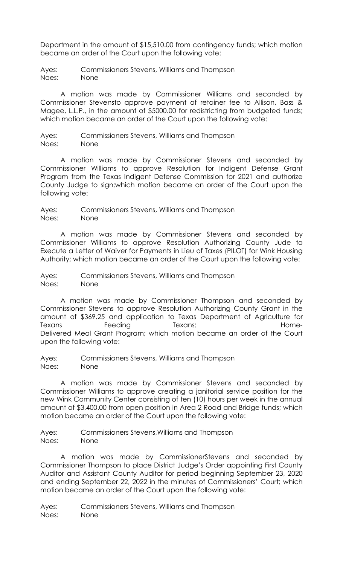Department in the amount of \$15,510.00 from contingency funds; which motion became an order of the Court upon the following vote:

Ayes: Commissioners Stevens, Williams and Thompson Noes: None

 A motion was made by Commissioner Williams and seconded by Commissioner Stevensto approve payment of retainer fee to Allison, Bass & Magee, L.L.P., in the amount of \$5000.00 for redistricting from budgeted funds; which motion became an order of the Court upon the following vote:

Ayes: Commissioners Stevens, Williams and Thompson

Noes: None

 A motion was made by Commissioner Stevens and seconded by Commissioner Williams to approve Resolution for Indigent Defense Grant Program from the Texas Indigent Defense Commission for 2021 and authorize County Judge to sign;which motion became an order of the Court upon the following vote:

Ayes: Commissioners Stevens, Williams and Thompson Noes: None

 A motion was made by Commissioner Stevens and seconded by Commissioner Williams to approve Resolution Authorizing County Jude to Execute a Letter of Waiver for Payments in Lieu of Taxes (PILOT) for Wink Housing Authority; which motion became an order of the Court upon the following vote:

Ayes: Commissioners Stevens, Williams and Thompson Noes: None

 A motion was made by Commissioner Thompson and seconded by Commissioner Stevens to approve Resolution Authorizing County Grant in the amount of \$369.25 and application to Texas Department of Agriculture for Texans Feeding Texans: Texans: Home-Delivered Meal Grant Program; which motion became an order of the Court upon the following vote:

Ayes: Commissioners Stevens, Williams and Thompson Noes: None

 A motion was made by Commissioner Stevens and seconded by Commissioner Williams to approve creating a janitorial service position for the new Wink Community Center consisting of ten (10) hours per week in the annual amount of \$3,400.00 from open position in Area 2 Road and Bridge funds; which motion became an order of the Court upon the following vote:

Ayes: Commissioners Stevens,Williams and Thompson Noes: None

 A motion was made by CommissionerStevens and seconded by Commissioner Thompson to place District Judge's Order appointing First County Auditor and Assistant County Auditor for period beginning September 23, 2020 and ending September 22, 2022 in the minutes of Commissioners' Court; which motion became an order of the Court upon the following vote:

Ayes: Commissioners Stevens, Williams and Thompson Noes: None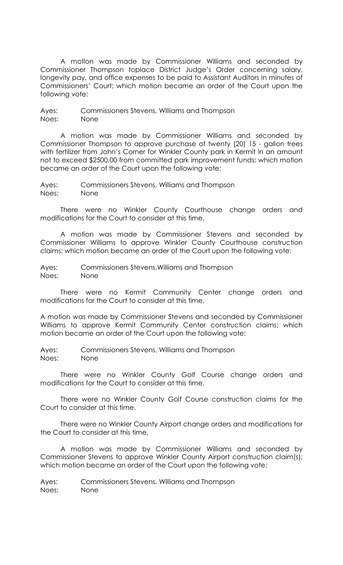A motion was made by Commissioner Williams and seconded by Commissioner Thompson toplace District Judge's Order concerning salary, longevity pay, and office expenses to be paid to Assistant Auditors in minutes of Commissioners' Court; which motion became an order of the Court upon the following vote:

Ayes: Commissioners Stevens, Williams and Thompson Noes: None

 A motion was made by Commissioner Williams and seconded by Commissioner Thompson to approve purchase of twenty (20) 15 - gallon trees with fertilizer from John's Corner for Winkler County park in Kermit in an amount not to exceed \$2500.00 from committed park improvement funds; which motion became an order of the Court upon the following vote:

Ayes: Commissioners Stevens, Williams and Thompson Noes: None

 There were no Winkler County Courthouse change orders and modifications for the Court to consider at this time.

 A motion was made by Commissioner Stevens and seconded by Commissioner Williams to approve Winkler County Courthouse construction claims; which motion became an order of the Court upon the following vote:

Ayes: Commissioners Stevens,Williams and Thompson Noes: None

 There were no Kermit Community Center change orders and modifications for the Court to consider at this time.

A motion was made by Commissioner Stevens and seconded by Commissioner Williams to approve Kermit Community Center construction claims; which motion became an order of the Court upon the following vote:

Ayes: Commissioners Stevens, Williams and Thompson Noes: None

 There were no Winkler County Golf Course change orders and modifications for the Court to consider at this time.

 There were no Winkler County Golf Course construction claims for the Court to consider at this time.

 There were no Winkler County Airport change orders and modifications for the Court to consider at this time.

 A motion was made by Commissioner Williams and seconded by Commissioner Stevens to approve Winkler County Airport construction claim(s); which motion became an order of the Court upon the following vote:

Ayes: Commissioners Stevens, Williams and Thompson Noes: None